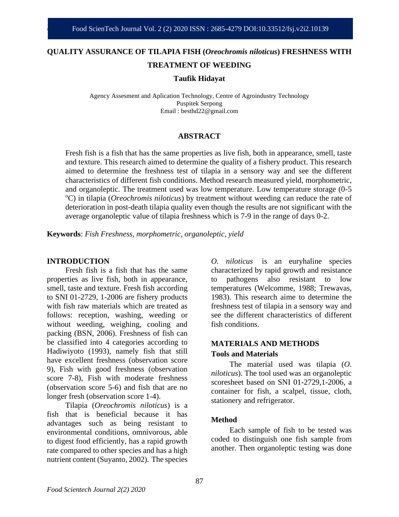# **QUALITY ASSURANCE OF TILAPIA FISH (***Oreochromis niloticus***) FRESHNESS WITH TREATMENT OF WEEDING**

**Taufik Hidayat**

Agency Assesment and Aplication Technology, Centre of Agroindustry Technology Puspitek Serpong Email : besthd22@gmail.com

# **ABSTRACT**

Fresh fish is a fish that has the same properties as live fish, both in appearance, smell, taste and texture. This research aimed to determine the quality of a fishery product. This research aimed to determine the freshness test of tilapia in a sensory way and see the different characteristics of different fish conditions. Method research measured yield, morphometric, and organoleptic. The treatment used was low temperature. Low temperature storage (0-5 <sup>o</sup>C) in tilapia (*Oreochromis niloticus*) by treatment without weeding can reduce the rate of deterioration in post-death tilapia quality even though the results are not significant with the average organoleptic value of tilapia freshness which is 7-9 in the range of days 0-2.

**Keywords**: *Fish Freshness, morphometric, organoleptic, yield*

#### **INTRODUCTION**

Fresh fish is a fish that has the same properties as live fish, both in appearance, smell, taste and texture. Fresh fish according to SNI 01-2729, 1-2006 are fishery products with fish raw materials which are treated as follows: reception, washing, weeding or without weeding, weighing, cooling and packing (BSN, 2006). Freshness of fish can be classified into 4 categories according to Hadiwiyoto (1993), namely fish that still have excellent freshness (observation score 9), Fish with good freshness (observation score 7-8), Fish with moderate freshness (observation score 5-6) and fish that are no longer fresh (observation score 1-4).

Tilapia (*Oreochromis niloticus*) is a fish that is beneficial because it has advantages such as being resistant to environmental conditions, omnivorous, able to digest food efficiently, has a rapid growth rate compared to other species and has a high nutrient content (Suyanto, 2002). The species

*O. niloticus* is an euryhaline species characterized by rapid growth and resistance to pathogens also resistant to low temperatures (Welcomme, 1988; Trewavas, 1983). This research aime to determine the freshness test of tilapia in a sensory way and see the different characteristics of different fish conditions.

# **MATERIALS AND METHODS Tools and Materials**

The material used was tilapia (*O. niloticus*). The tool used was an organoleptic scoresheet based on SNI 01-2729,1-2006, a container for fish, a scalpel, tissue, cloth, stationery and refrigerator.

# **Method**

Each sample of fish to be tested was coded to distinguish one fish sample from another. Then organoleptic testing was done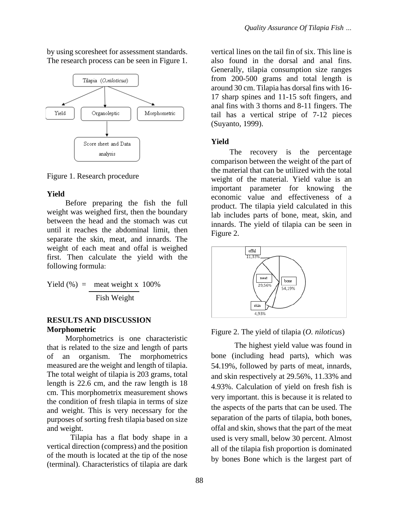by using scoresheet for assessment standards. The research process can be seen in Figure 1.



Figure 1. Research procedure

#### **Yield**

Before preparing the fish the full weight was weighed first, then the boundary between the head and the stomach was cut until it reaches the abdominal limit, then separate the skin, meat, and innards. The weight of each meat and offal is weighed first. Then calculate the yield with the following formula:

Yield  $(\%)$  = meat weight x 100% Fish Weight

# **RESULTS AND DISCUSSION Morphometric**

Morphometrics is one characteristic that is related to the size and length of parts of an organism. The morphometrics measured are the weight and length of tilapia. The total weight of tilapia is 203 grams, total length is 22.6 cm, and the raw length is 18 cm. This morphometrix measurement shows the condition of fresh tilapia in terms of size and weight. This is very necessary for the purposes of sorting fresh tilapia based on size and weight.

Tilapia has a flat body shape in a vertical direction (compress) and the position of the mouth is located at the tip of the nose (terminal). Characteristics of tilapia are dark

vertical lines on the tail fin of six. This line is also found in the dorsal and anal fins. Generally, tilapia consumption size ranges from 200-500 grams and total length is around 30 cm. Tilapia has dorsal fins with 16- 17 sharp spines and 11-15 soft fingers, and anal fins with 3 thorns and 8-11 fingers. The tail has a vertical stripe of 7-12 pieces (Suyanto, 1999).

# **Yield**

The recovery is the percentage comparison between the weight of the part of the material that can be utilized with the total weight of the material. Yield value is an important parameter for knowing the economic value and effectiveness of a product. The tilapia yield calculated in this lab includes parts of bone, meat, skin, and innards. The yield of tilapia can be seen in Figure 2.



Figure 2. The yield of tilapia (*O. niloticus*)

The highest yield value was found in bone (including head parts), which was 54.19%, followed by parts of meat, innards, and skin respectively at 29.56%, 11.33% and 4.93%. Calculation of yield on fresh fish is very important. this is because it is related to the aspects of the parts that can be used. The separation of the parts of tilapia, both bones, offal and skin, shows that the part of the meat used is very small, below 30 percent. Almost all of the tilapia fish proportion is dominated by bones Bone which is the largest part of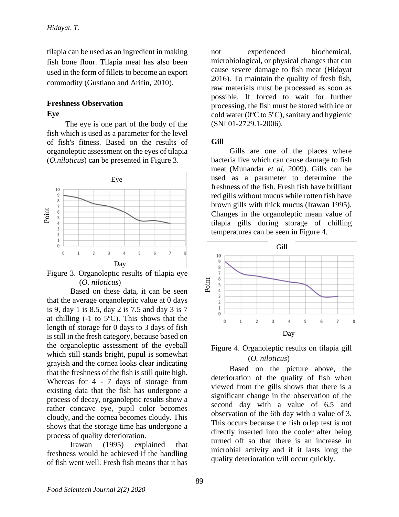tilapia can be used as an ingredient in making fish bone flour. Tilapia meat has also been used in the form of fillets to become an export commodity (Gustiano and Arifin, 2010).

# **Freshness Observation Eye**

The eye is one part of the body of the fish which is used as a parameter for the level of fish's fitness. Based on the results of organoleptic assessment on the eyes of tilapia (*O.niloticus*) can be presented in Figure 3.





Based on these data, it can be seen that the average organoleptic value at 0 days is 9, day 1 is 8.5, day 2 is 7.5 and day 3 is 7 at chilling  $(-1)$  to  $5^{\circ}$ C). This shows that the length of storage for 0 days to 3 days of fish is still in the fresh category, because based on the organoleptic assessment of the eyeball which still stands bright, pupul is somewhat grayish and the cornea looks clear indicating that the freshness of the fish is still quite high. Whereas for 4 - 7 days of storage from existing data that the fish has undergone a process of decay, organoleptic results show a rather concave eye, pupil color becomes cloudy, and the cornea becomes cloudy. This shows that the storage time has undergone a process of quality deterioration.

Irawan (1995) explained that freshness would be achieved if the handling of fish went well. Fresh fish means that it has

not experienced biochemical, microbiological, or physical changes that can cause severe damage to fish meat (Hidayat 2016). To maintain the quality of fresh fish, raw materials must be processed as soon as possible. If forced to wait for further processing, the fish must be stored with ice or cold water (0ºC to 5ºC), sanitary and hygienic (SNI 01-2729.1-2006).

# **Gill**

Gills are one of the places where bacteria live which can cause damage to fish meat (Munandar *et al*, 2009). Gills can be used as a parameter to determine the freshness of the fish. Fresh fish have brilliant red gills without mucus while rotten fish have brown gills with thick mucus (Irawan 1995). Changes in the organoleptic mean value of tilapia gills during storage of chilling temperatures can be seen in Figure 4.





Based on the picture above, the deterioration of the quality of fish when viewed from the gills shows that there is a significant change in the observation of the second day with a value of 6.5 and observation of the 6th day with a value of 3. This occurs because the fish orlep test is not directly inserted into the cooler after being turned off so that there is an increase in microbial activity and if it lasts long the quality deterioration will occur quickly.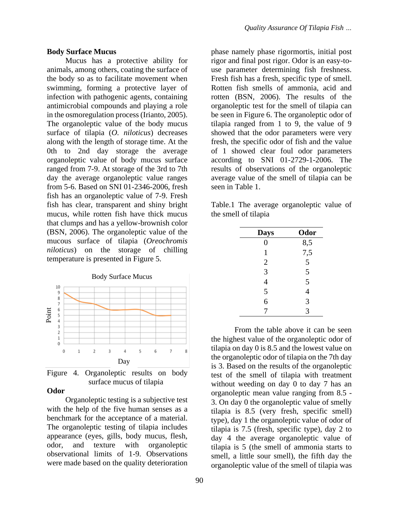#### **Body Surface Mucus**

Mucus has a protective ability for animals, among others, coating the surface of the body so as to facilitate movement when swimming, forming a protective layer of infection with pathogenic agents, containing antimicrobial compounds and playing a role in the osmoregulation process (Irianto, 2005). The organoleptic value of the body mucus surface of tilapia (*O. niloticus*) decreases along with the length of storage time. At the 0th to 2nd day storage the average organoleptic value of body mucus surface ranged from 7-9. At storage of the 3rd to 7th day the average organoleptic value ranges from 5-6. Based on SNI 01-2346-2006, fresh fish has an organoleptic value of 7-9. Fresh fish has clear, transparent and shiny bright mucus, while rotten fish have thick mucus that clumps and has a yellow-brownish color (BSN, 2006). The organoleptic value of the mucous surface of tilapia (*Oreochromis niloticus*) on the storage of chilling temperature is presented in Figure 5.



Figure 4. Organoleptic results on body surface mucus of tilapia

# **Odor**

Organoleptic testing is a subjective test with the help of the five human senses as a benchmark for the acceptance of a material. The organoleptic testing of tilapia includes appearance (eyes, gills, body mucus, flesh, odor, and texture with organoleptic observational limits of 1-9. Observations were made based on the quality deterioration

phase namely phase rigormortis, initial post rigor and final post rigor. Odor is an easy-touse parameter determining fish freshness. Fresh fish has a fresh, specific type of smell. Rotten fish smells of ammonia, acid and rotten (BSN, 2006). The results of the organoleptic test for the smell of tilapia can be seen in Figure 6. The organoleptic odor of tilapia ranged from 1 to 9, the value of 9 showed that the odor parameters were very fresh, the specific odor of fish and the value of 1 showed clear foul odor parameters according to SNI 01-2729-1-2006. The results of observations of the organoleptic average value of the smell of tilapia can be seen in Table 1.

Table.1 The average organoleptic value of the smell of tilapia

| <b>Days</b>    | Odor           |
|----------------|----------------|
| $\overline{0}$ | 8,5            |
| 1              | 7,5            |
| $\overline{2}$ | 5              |
|                | 5              |
| $\frac{3}{4}$  |                |
| $rac{5}{6}$    | $\frac{5}{4}$  |
|                | $\overline{3}$ |
| 7              | 3              |

From the table above it can be seen the highest value of the organoleptic odor of tilapia on day 0 is 8.5 and the lowest value on the organoleptic odor of tilapia on the 7th day is 3. Based on the results of the organoleptic test of the smell of tilapia with treatment without weeding on day 0 to day 7 has an organoleptic mean value ranging from 8.5 - 3. On day 0 the organoleptic value of smelly tilapia is 8.5 (very fresh, specific smell) type), day 1 the organoleptic value of odor of tilapia is 7.5 (fresh, specific type), day 2 to day 4 the average organoleptic value of tilapia is 5 (the smell of ammonia starts to smell, a little sour smell), the fifth day the organoleptic value of the smell of tilapia was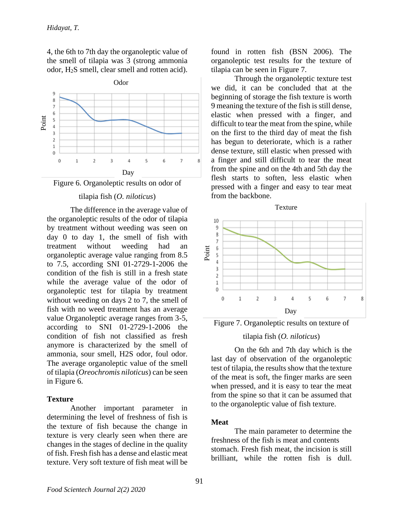4, the 6th to 7th day the organoleptic value of the smell of tilapia was 3 (strong ammonia odor, H2S smell, clear smell and rotten acid).



# Figure 6. Organoleptic results on odor of

#### tilapia fish (*O. niloticus*)

The difference in the average value of the organoleptic results of the odor of tilapia by treatment without weeding was seen on day 0 to day 1, the smell of fish with treatment without weeding had an organoleptic average value ranging from 8.5 to 7.5, according SNI 01-2729-1-2006 the condition of the fish is still in a fresh state while the average value of the odor of organoleptic test for tilapia by treatment without weeding on days 2 to 7, the smell of fish with no weed treatment has an average value Organoleptic average ranges from 3-5, according to SNI 01-2729-1-2006 the condition of fish not classified as fresh anymore is characterized by the smell of ammonia, sour smell, H2S odor, foul odor. The average organoleptic value of the smell of tilapia (*Oreochromis niloticus*) can be seen in Figure 6.

# **Texture**

Another important parameter in determining the level of freshness of fish is the texture of fish because the change in texture is very clearly seen when there are changes in the stages of decline in the quality of fish. Fresh fish has a dense and elastic meat texture. Very soft texture of fish meat will be

found in rotten fish (BSN 2006). The organoleptic test results for the texture of tilapia can be seen in Figure 7.

Through the organoleptic texture test we did, it can be concluded that at the beginning of storage the fish texture is worth 9 meaning the texture of the fish is still dense, elastic when pressed with a finger, and difficult to tear the meat from the spine, while on the first to the third day of meat the fish has begun to deteriorate, which is a rather dense texture, still elastic when pressed with a finger and still difficult to tear the meat from the spine and on the 4th and 5th day the flesh starts to soften, less elastic when pressed with a finger and easy to tear meat from the backbone.





### tilapia fish (*O. niloticus*)

On the 6th and 7th day which is the last day of observation of the organoleptic test of tilapia, the results show that the texture of the meat is soft, the finger marks are seen when pressed, and it is easy to tear the meat from the spine so that it can be assumed that to the organoleptic value of fish texture.

#### **Meat**

The main parameter to determine the freshness of the fish is meat and contents stomach. Fresh fish meat, the incision is still brilliant, while the rotten fish is dull.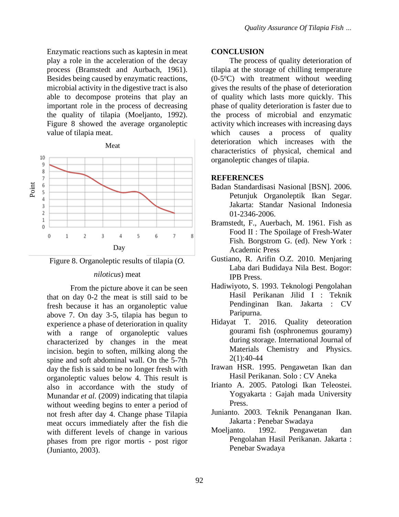Enzymatic reactions such as kaptesin in meat play a role in the acceleration of the decay process (Bramstedt and Aurbach, 1961). Besides being caused by enzymatic reactions, microbial activity in the digestive tract is also able to decompose proteins that play an important role in the process of decreasing the quality of tilapia (Moeljanto, 1992). Figure 8 showed the average organoleptic value of tilapia meat.





### *niloticus*) meat

From the picture above it can be seen that on day 0-2 the meat is still said to be fresh because it has an organoleptic value above 7. On day 3-5, tilapia has begun to experience a phase of deterioration in quality with a range of organoleptic values characterized by changes in the meat incision. begin to soften, milking along the spine and soft abdominal wall. On the 5-7th day the fish is said to be no longer fresh with organoleptic values below 4. This result is also in accordance with the study of Munandar *et al.* (2009) indicating that tilapia without weeding begins to enter a period of not fresh after day 4. Change phase Tilapia meat occurs immediately after the fish die with different levels of change in various phases from pre rigor mortis - post rigor (Junianto, 2003).

#### **CONCLUSION**

The process of quality deterioration of tilapia at the storage of chilling temperature  $(0-5°C)$  with treatment without weeding gives the results of the phase of deterioration of quality which lasts more quickly. This phase of quality deterioration is faster due to the process of microbial and enzymatic activity which increases with increasing days which causes a process of quality deterioration which increases with the characteristics of physical, chemical and organoleptic changes of tilapia.

### **REFERENCES**

- Badan Standardisasi Nasional [BSN]. 2006. Petunjuk Organoleptik Ikan Segar. Jakarta: Standar Nasional Indonesia 01-2346-2006.
- Bramstedt, F., Auerbach, M. 1961. Fish as Food II : The Spoilage of Fresh-Water Fish. Borgstrom G. (ed). New York : Academic Press
- Gustiano, R. Arifin O.Z. 2010. Menjaring Laba dari Budidaya Nila Best. Bogor: IPB Press.
- Hadiwiyoto, S. 1993. Teknologi Pengolahan Hasil Perikanan Jilid I : Teknik Pendinginan Ikan. Jakarta : CV Paripurna.
- Hidayat T. 2016. Quality deteoration gourami fish (osphronemus gouramy) during storage. International Journal of Materials Chemistry and Physics. 2(1):40-44
- Irawan HSR. 1995. Pengawetan Ikan dan Hasil Perikanan. Solo : CV Aneka
- Irianto A. 2005. Patologi Ikan Teleostei. Yogyakarta : Gajah mada University Press.
- Junianto. 2003. Teknik Penanganan Ikan. Jakarta : Penebar Swadaya
- Moeljanto. 1992. Pengawetan dan Pengolahan Hasil Perikanan. Jakarta : Penebar Swadaya